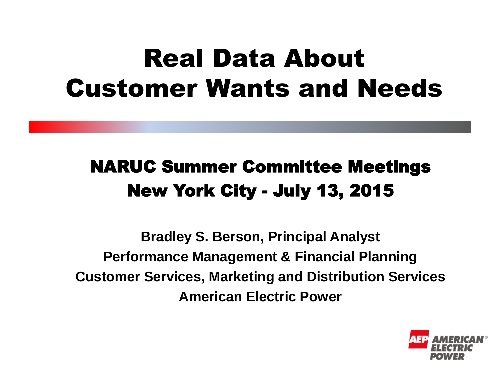# Real Data About Customer Wants and Needs

#### NARUC Summer Committee Meetings New York City - July 13, 2015

**Bradley S. Berson, Principal Analyst Performance Management & Financial Planning Customer Services, Marketing and Distribution Services American Electric Power**

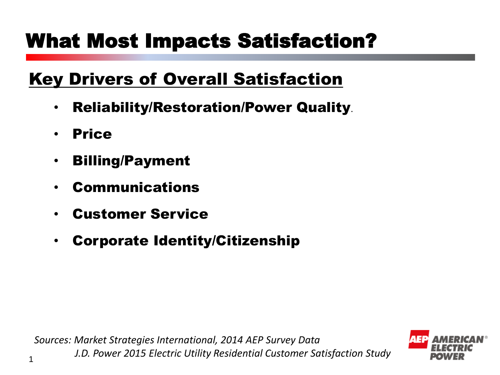### What Most Impacts Satisfaction?

#### Key Drivers of Overall Satisfaction

- Reliability/Restoration/Power Quality.
- Price

1

- Billing/Payment
- **Communications**
- Customer Service
- Corporate Identity/Citizenship

*Sources: Market Strategies International, 2014 AEP Survey Data J.D. Power 2015 Electric Utility Residential Customer Satisfaction Study*

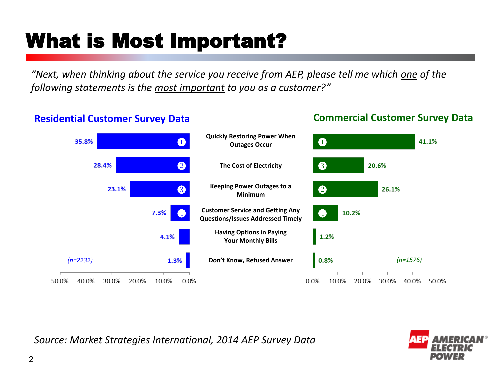# What is Most Important?

*"Next, when thinking about the service you receive from AEP, please tell me which one of the following statements is the most important to you as a customer?"*

#### **Residential Customer Survey Data Commercial Customer Survey Data**



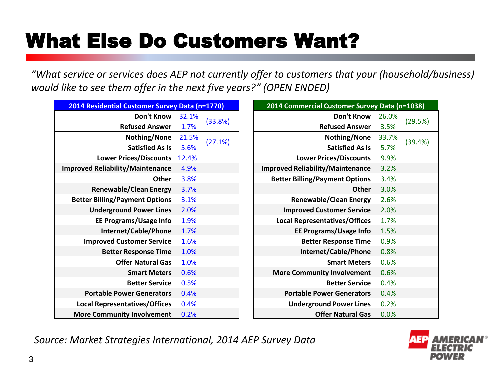# What Else Do Customers Want?

*"What service or services does AEP not currently offer to customers that your (household/business) would like to see them offer in the next five years?" (OPEN ENDED)*

| 2014 Residential Customer Survey Data (n=1770) |       |         | 2014 Commercial Customer Survey Data (n=1038) |       |         |
|------------------------------------------------|-------|---------|-----------------------------------------------|-------|---------|
| Don't Know                                     | 32.1% | (33.8%) | Don't Know                                    | 26.0% |         |
| <b>Refused Answer</b>                          | 1.7%  |         | <b>Refused Answer</b>                         | 3.5%  | (29.59  |
| Nothing/None                                   | 21.5% | (27.1%) | <b>Nothing/None</b>                           | 33.7% |         |
| <b>Satisfied As Is</b>                         | 5.6%  |         | <b>Satisfied As Is</b>                        | 5.7%  | (39.49) |
| <b>Lower Prices/Discounts</b>                  | 12.4% |         | <b>Lower Prices/Discounts</b>                 | 9.9%  |         |
| <b>Improved Reliability/Maintenance</b>        | 4.9%  |         | <b>Improved Reliability/Maintenance</b>       | 3.2%  |         |
| <b>Other</b>                                   | 3.8%  |         | <b>Better Billing/Payment Options</b>         | 3.4%  |         |
| <b>Renewable/Clean Energy</b>                  | 3.7%  |         | <b>Other</b>                                  | 3.0%  |         |
| <b>Better Billing/Payment Options</b>          | 3.1%  |         | <b>Renewable/Clean Energy</b>                 | 2.6%  |         |
| <b>Underground Power Lines</b>                 | 2.0%  |         | <b>Improved Customer Service</b>              | 2.0%  |         |
| <b>EE Programs/Usage Info</b>                  | 1.9%  |         | <b>Local Representatives/Offices</b>          | 1.7%  |         |
| Internet/Cable/Phone                           | 1.7%  |         | <b>EE Programs/Usage Info</b>                 | 1.5%  |         |
| <b>Improved Customer Service</b>               | 1.6%  |         | <b>Better Response Time</b>                   | 0.9%  |         |
| <b>Better Response Time</b>                    | 1.0%  |         | Internet/Cable/Phone                          | 0.8%  |         |
| <b>Offer Natural Gas</b>                       | 1.0%  |         | <b>Smart Meters</b>                           | 0.6%  |         |
| <b>Smart Meters</b>                            | 0.6%  |         | <b>More Community Involvement</b>             | 0.6%  |         |
| <b>Better Service</b>                          | 0.5%  |         | <b>Better Service</b>                         | 0.4%  |         |
| <b>Portable Power Generators</b>               | 0.4%  |         | <b>Portable Power Generators</b>              | 0.4%  |         |
| <b>Local Representatives/Offices</b>           | 0.4%  |         | <b>Underground Power Lines</b>                | 0.2%  |         |
| <b>More Community Involvement</b>              | 0.2%  |         | <b>Offer Natural Gas</b>                      | 0.0%  |         |

|                              | dential Customer Survey Data (n=1770) |         |  | 2014 Commercial Customer Survey Data (n=1038) |       |         |  |  |
|------------------------------|---------------------------------------|---------|--|-----------------------------------------------|-------|---------|--|--|
| Don't Know                   | 32.1%                                 |         |  | Don't Know                                    | 26.0% |         |  |  |
| <b>Refused Answer</b>        | 1.7%                                  | (33.8%) |  | <b>Refused Answer</b>                         | 3.5%  | (29.5%) |  |  |
| Nothing/None                 | 21.5%                                 | (27.1%) |  | Nothing/None                                  | 33.7% | (39.4%) |  |  |
| <b>Satisfied As Is</b>       | 5.6%                                  |         |  | <b>Satisfied As Is</b>                        | 5.7%  |         |  |  |
| ower Prices/Discounts        | 12.4%                                 |         |  | <b>Lower Prices/Discounts</b>                 | 9.9%  |         |  |  |
| liability/Maintenance        | 4.9%                                  |         |  | <b>Improved Reliability/Maintenance</b>       | 3.2%  |         |  |  |
| <b>Other</b>                 | 3.8%                                  |         |  | <b>Better Billing/Payment Options</b>         | 3.4%  |         |  |  |
| newable/Clean Energy         | 3.7%                                  |         |  | <b>Other</b>                                  | 3.0%  |         |  |  |
| ling/Payment Options         | 3.1%                                  |         |  | <b>Renewable/Clean Energy</b>                 | 2.6%  |         |  |  |
| lerground Power Lines        | 2.0%                                  |         |  | <b>Improved Customer Service</b>              | 2.0%  |         |  |  |
| <b>Programs/Usage Info</b>   | 1.9%                                  |         |  | <b>Local Representatives/Offices</b>          | 1.7%  |         |  |  |
| <b>Internet/Cable/Phone</b>  | 1.7%                                  |         |  | <b>EE Programs/Usage Info</b>                 | 1.5%  |         |  |  |
| <b>oved Customer Service</b> | 1.6%                                  |         |  | <b>Better Response Time</b>                   | 0.9%  |         |  |  |
| <b>Better Response Time</b>  | 1.0%                                  |         |  | Internet/Cable/Phone                          | 0.8%  |         |  |  |
| <b>Offer Natural Gas</b>     | 1.0%                                  |         |  | <b>Smart Meters</b>                           | 0.6%  |         |  |  |
| <b>Smart Meters</b>          | 0.6%                                  |         |  | <b>More Community Involvement</b>             | 0.6%  |         |  |  |
| <b>Better Service</b>        | 0.5%                                  |         |  | <b>Better Service</b>                         | 0.4%  |         |  |  |
| ble Power Generators         | 0.4%                                  |         |  | <b>Portable Power Generators</b>              | 0.4%  |         |  |  |
| epresentatives/Offices       | 0.4%                                  |         |  | <b>Underground Power Lines</b>                | 0.2%  |         |  |  |
| mmunity Involvement          | 0.2%                                  |         |  | <b>Offer Natural Gas</b>                      | 0.0%  |         |  |  |

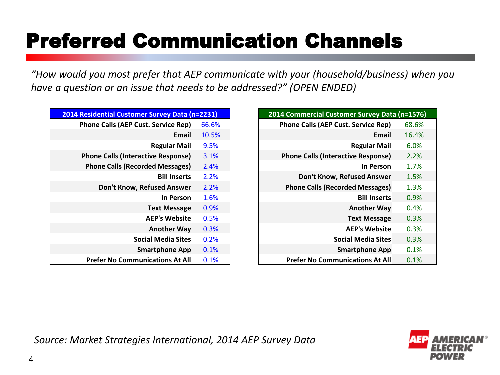# Preferred Communication Channels

*"How would you most prefer that AEP communicate with your (household/business) when you have a question or an issue that needs to be addressed?" (OPEN ENDED)*

| 2014 Residential Customer Survey Data (n=2231) |       |  |  |
|------------------------------------------------|-------|--|--|
| <b>Phone Calls (AEP Cust. Service Rep)</b>     | 66.6% |  |  |
| <b>Fmail</b>                                   | 10.5% |  |  |
| <b>Regular Mail</b>                            | 9.5%  |  |  |
| <b>Phone Calls (Interactive Response)</b>      | 3.1%  |  |  |
| <b>Phone Calls (Recorded Messages)</b>         | 2.4%  |  |  |
| <b>Bill Inserts</b>                            | 2.2%  |  |  |
| Don't Know, Refused Answer                     | 2.2%  |  |  |
| In Person                                      | 1.6%  |  |  |
| <b>Text Message</b>                            | 0.9%  |  |  |
| <b>AFP's Website</b>                           | 0.5%  |  |  |
| <b>Another Way</b>                             | 0.3%  |  |  |
| <b>Social Media Sites</b>                      | 0.2%  |  |  |
| <b>Smartphone App</b>                          | 0.1%  |  |  |
| <b>Prefer No Communications At All</b>         | 0.1%  |  |  |

| 2014 Residential Customer Survey Data (n=2231) |       | 2014 Commercial Customer Survey Data (n=1576) |
|------------------------------------------------|-------|-----------------------------------------------|
| <b>Phone Calls (AEP Cust. Service Rep)</b>     | 66.6% | <b>Phone Calls (AEP Cust. Service Rep)</b>    |
| Email                                          | 10.5% | Email                                         |
| <b>Regular Mail</b>                            | 9.5%  | <b>Regular Mail</b>                           |
| <b>Phone Calls (Interactive Response)</b>      | 3.1%  | <b>Phone Calls (Interactive Response)</b>     |
| <b>Phone Calls (Recorded Messages)</b>         | 2.4%  | In Person                                     |
| <b>Bill Inserts</b>                            | 2.2%  | Don't Know, Refused Answer                    |
| Don't Know, Refused Answer                     | 2.2%  | <b>Phone Calls (Recorded Messages)</b>        |
| In Person                                      | 1.6%  | <b>Bill Inserts</b>                           |
| <b>Text Message</b>                            | 0.9%  | <b>Another Way</b>                            |
| <b>AEP's Website</b>                           | 0.5%  | <b>Text Message</b>                           |
| <b>Another Way</b>                             | 0.3%  | <b>AEP's Website</b>                          |
| <b>Social Media Sites</b>                      | 0.2%  | <b>Social Media Sites</b>                     |
| <b>Smartphone App</b>                          | 0.1%  | <b>Smartphone App</b>                         |
| <b>Prefer No Communications At All</b>         | 0.1%  | <b>Prefer No Communications At All</b>        |

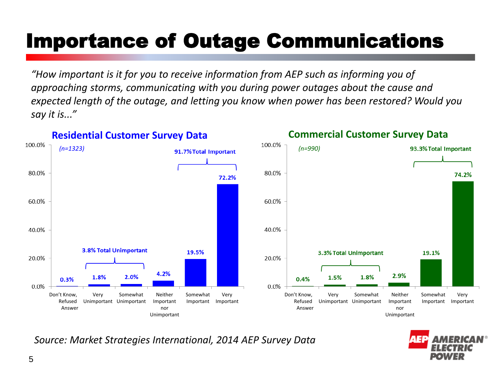# Importance of Outage Communications

*"How important is it for you to receive information from AEP such as informing you of approaching storms, communicating with you during power outages about the cause and expected length of the outage, and letting you know when power has been restored? Would you say it is..."*



*Source: Market Strategies International, 2014 AEP Survey Data*

5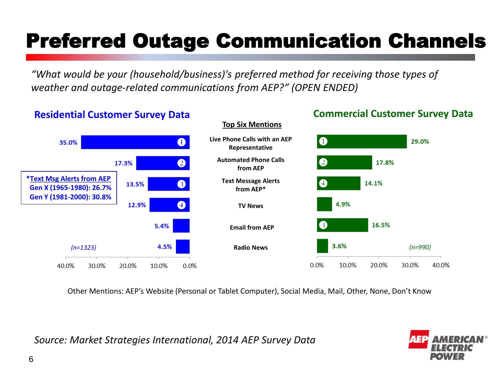# Preferred Outage Communication Channels

*"What would be your (household/business)'s preferred method for receiving those types of weather and outage-related communications from AEP?" (OPEN ENDED)*

#### **Residential Customer Survey Data Commercial Customer Survey Data Top Six MentionsLive Phone Calls with an AEP**   $\bullet$ 29.0%  $\mathbf 0$ 35.0% **Representative Automated Phone Calls**  $\bullet$  $\boldsymbol{2}$ 17.8% 17.3% **from AEP \*Text Msg Alerts from AEP Text Message Alerts**  $\bullet$  $\bullet$ 14.1% 13.5%  **Gen X (1965-1980): 26.7% from AEP\* Gen Y (1981-2000): 30.8%**  $\bullet$ 12.9% 4.9% **TV News**  $\bullet$ 16.5% 5.4% **Email from AEP** *(n=1323) (n=990)* **Radio News** 40.0% 30.0% 20.0% 10.0%  $0.0%$  $0.0%$ 10.0% 20.0% 30.0% 40.0%

Other Mentions: AEP's Website (Personal or Tablet Computer), Social Media, Mail, Other, None, Don't Know

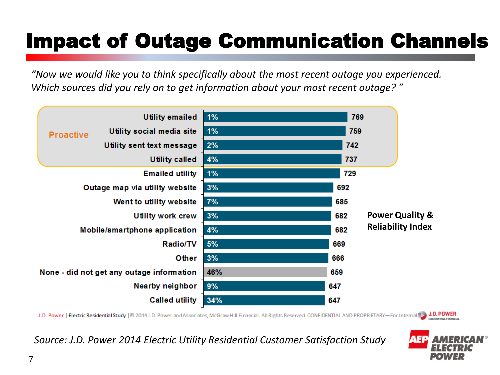# Impact of Outage Communication Channels

*"Now we would like you to think specifically about the most recent outage you experienced. Which sources did you rely on to get information about your most recent outage? "*



J.D. Power | Electric Residential Study | © 2014 J.D. Power and Associates, McGraw Hill Financial. All Rights Reserved. CONFIDENTIAL AND PROPRIETARY-For Internal 13 J.D. POWER McCRAW HILL FINANCIAL

*Source: J.D. Power 2014 Electric Utility Residential Customer Satisfaction Study*

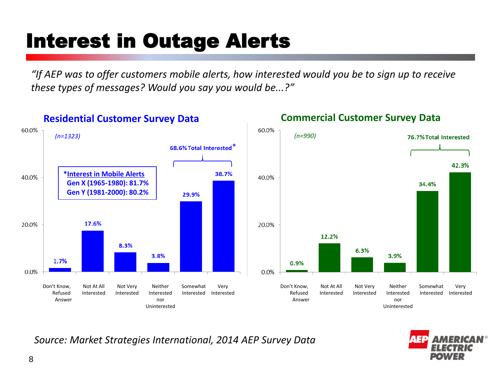#### Interest in Outage Alerts

*"If AEP was to offer customers mobile alerts, how interested would you be to sign up to receive these types of messages? Would you say you would be...?"*



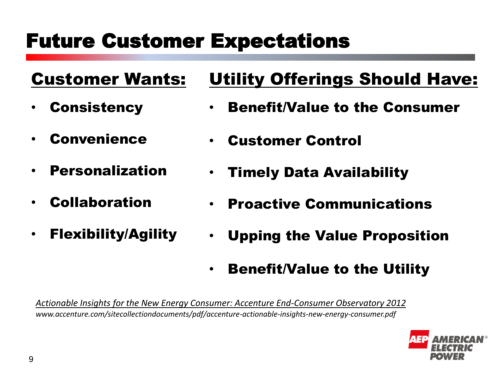#### Future Customer Expectations

#### Customer Wants:

- **Consistency**
- **Convenience**
- **Personalization**
- **Collaboration**
- Flexibility/Agility

#### Utility Offerings Should Have:

- Benefit/Value to the Consumer
- Customer Control
- Timely Data Availability
- Proactive Communications
- Upping the Value Proposition
- Benefit/Value to the Utility

*Actionable Insights for the New Energy Consumer: Accenture End-Consumer Observatory 2012 www.accenture.com/sitecollectiondocuments/pdf/accenture-actionable-insights-new-energy-consumer.pdf*